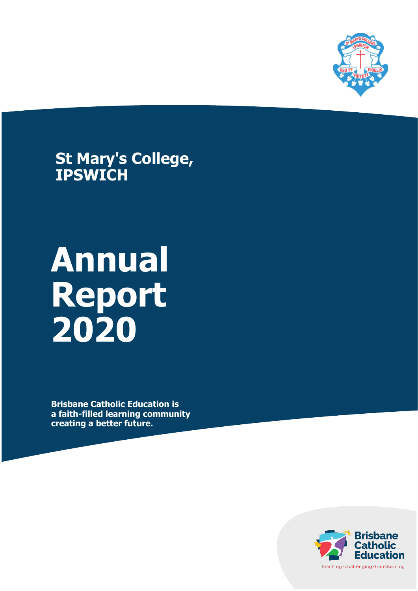

**St Mary's College, IPSWICH**

# **Annual Report 2020**

**Brisbane Catholic Education is a faith-filled learning community creating a better future.**

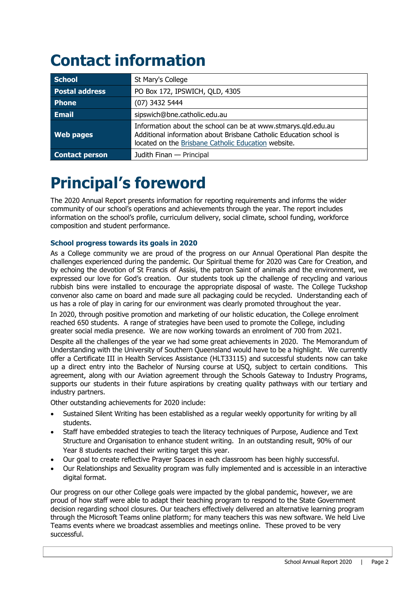# **Contact information**

| <b>School</b>         | St Mary's College                                                                                                                                                                          |
|-----------------------|--------------------------------------------------------------------------------------------------------------------------------------------------------------------------------------------|
| <b>Postal address</b> | PO Box 172, IPSWICH, QLD, 4305                                                                                                                                                             |
| Phone                 | (07) 3432 5444                                                                                                                                                                             |
| <b>Email</b>          | sipswich@bne.catholic.edu.au                                                                                                                                                               |
| <b>Web pages</b>      | Information about the school can be at www.stmarys.qld.edu.au<br>Additional information about Brisbane Catholic Education school is<br>located on the Brisbane Catholic Education website. |
| <b>Contact person</b> | Judith Finan - Principal                                                                                                                                                                   |

# **Principal's foreword**

The 2020 Annual Report presents information for reporting requirements and informs the wider community of our school's operations and achievements through the year. The report includes information on the school's profile, curriculum delivery, social climate, school funding, workforce composition and student performance.

#### **School progress towards its goals in 2020**

As a College community we are proud of the progress on our Annual Operational Plan despite the challenges experienced during the pandemic. Our Spiritual theme for 2020 was Care for Creation, and by echoing the devotion of St Francis of Assisi, the patron Saint of animals and the environment, we expressed our love for God's creation. Our students took up the challenge of recycling and various rubbish bins were installed to encourage the appropriate disposal of waste. The College Tuckshop convenor also came on board and made sure all packaging could be recycled. Understanding each of us has a role of play in caring for our environment was clearly promoted throughout the year.

In 2020, through positive promotion and marketing of our holistic education, the College enrolment reached 650 students. A range of strategies have been used to promote the College, including greater social media presence. We are now working towards an enrolment of 700 from 2021.

Despite all the challenges of the year we had some great achievements in 2020. The Memorandum of Understanding with the University of Southern Queensland would have to be a highlight. We currently offer a Certificate III in Health Services Assistance (HLT33115) and successful students now can take up a direct entry into the Bachelor of Nursing course at USQ, subject to certain conditions. This agreement, along with our Aviation agreement through the Schools Gateway to Industry Programs, supports our students in their future aspirations by creating quality pathways with our tertiary and industry partners.

Other outstanding achievements for 2020 include:

- Sustained Silent Writing has been established as a regular weekly opportunity for writing by all students.
- Staff have embedded strategies to teach the literacy techniques of Purpose, Audience and Text Structure and Organisation to enhance student writing. In an outstanding result, 90% of our Year 8 students reached their writing target this year.
- Our goal to create reflective Prayer Spaces in each classroom has been highly successful.
- Our Relationships and Sexuality program was fully implemented and is accessible in an interactive digital format.

Our progress on our other College goals were impacted by the global pandemic, however, we are proud of how staff were able to adapt their teaching program to respond to the State Government decision regarding school closures. Our teachers effectively delivered an alternative learning program through the Microsoft Teams online platform; for many teachers this was new software. We held Live Teams events where we broadcast assemblies and meetings online. These proved to be very successful.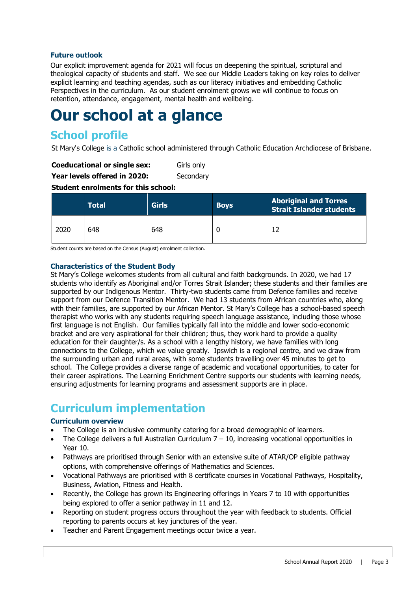#### **Future outlook**

Our explicit improvement agenda for 2021 will focus on deepening the spiritual, scriptural and theological capacity of students and staff. We see our Middle Leaders taking on key roles to deliver explicit learning and teaching agendas, such as our literacy initiatives and embedding Catholic Perspectives in the curriculum. As our student enrolment grows we will continue to focus on retention, attendance, engagement, mental health and wellbeing.

# **Our school at a glance**

# **School profile**

St Mary's College is a Catholic school administered through Catholic Education Archdiocese of Brisbane.

| <b>Coeducational or single sex:</b> | Girls only |
|-------------------------------------|------------|
|-------------------------------------|------------|

**Year levels offered in 2020:** Secondary

**Student enrolments for this school:**

|      | <b>Total</b> | <b>Girls</b> | <b>Boys</b> | <b>Aboriginal and Torres</b><br><b>Strait Islander students</b> |
|------|--------------|--------------|-------------|-----------------------------------------------------------------|
| 2020 | 648          | 648          |             |                                                                 |

Student counts are based on the Census (August) enrolment collection.

#### **Characteristics of the Student Body**

St Mary's College welcomes students from all cultural and faith backgrounds. In 2020, we had 17 students who identify as Aboriginal and/or Torres Strait Islander; these students and their families are supported by our Indigenous Mentor. Thirty-two students came from Defence families and receive support from our Defence Transition Mentor. We had 13 students from African countries who, along with their families, are supported by our African Mentor. St Mary's College has a school-based speech therapist who works with any students requiring speech language assistance, including those whose first language is not English. Our families typically fall into the middle and lower socio-economic bracket and are very aspirational for their children; thus, they work hard to provide a quality education for their daughter/s. As a school with a lengthy history, we have families with long connections to the College, which we value greatly. Ipswich is a regional centre, and we draw from the surrounding urban and rural areas, with some students travelling over 45 minutes to get to school. The College provides a diverse range of academic and vocational opportunities, to cater for their career aspirations. The Learning Enrichment Centre supports our students with learning needs, ensuring adjustments for learning programs and assessment supports are in place.

# **Curriculum implementation**

#### **Curriculum overview**

- The College is an inclusive community catering for a broad demographic of learners.
- The College delivers a full Australian Curriculum  $7 10$ , increasing vocational opportunities in Year 10.
- Pathways are prioritised through Senior with an extensive suite of ATAR/OP eligible pathway options, with comprehensive offerings of Mathematics and Sciences.
- Vocational Pathways are prioritised with 8 certificate courses in Vocational Pathways, Hospitality, Business, Aviation, Fitness and Health.
- Recently, the College has grown its Engineering offerings in Years 7 to 10 with opportunities being explored to offer a senior pathway in 11 and 12.
- Reporting on student progress occurs throughout the year with feedback to students. Official reporting to parents occurs at key junctures of the year.
- Teacher and Parent Engagement meetings occur twice a year.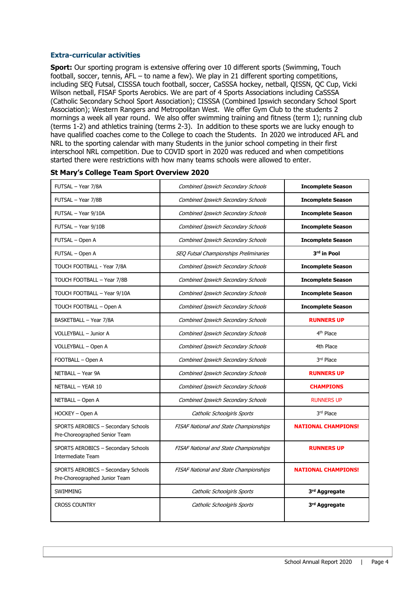#### **Extra-curricular activities**

**Sport:** Our sporting program is extensive offering over 10 different sports (Swimming, Touch football, soccer, tennis, AFL – to name a few). We play in 21 different sporting competitions, including SEQ Futsal, CISSSA touch football, soccer, CaSSSA hockey, netball, QISSN, QC Cup, Vicki Wilson netball, FISAF Sports Aerobics. We are part of 4 Sports Associations including CaSSSA (Catholic Secondary School Sport Association); CISSSA (Combined Ipswich secondary School Sport Association); Western Rangers and Metropolitan West. We offer Gym Club to the students 2 mornings a week all year round. We also offer swimming training and fitness (term 1); running club (terms 1-2) and athletics training (terms 2-3). In addition to these sports we are lucky enough to have qualified coaches come to the College to coach the Students. In 2020 we introduced AFL and NRL to the sporting calendar with many Students in the junior school competing in their first interschool NRL competition. Due to COVID sport in 2020 was reduced and when competitions started there were restrictions with how many teams schools were allowed to enter.

| FUTSAL - Year 7/8A                                                   | <b>Combined Ipswich Secondary Schools</b>     | <b>Incomplete Season</b>   |
|----------------------------------------------------------------------|-----------------------------------------------|----------------------------|
| FUTSAL - Year 7/8B                                                   | <b>Combined Ipswich Secondary Schools</b>     | <b>Incomplete Season</b>   |
| FUTSAL - Year 9/10A                                                  | <b>Combined Ipswich Secondary Schools</b>     | <b>Incomplete Season</b>   |
| FUTSAL - Year 9/10B                                                  | <b>Combined Ipswich Secondary Schools</b>     | <b>Incomplete Season</b>   |
| FUTSAL - Open A                                                      | <b>Combined Ipswich Secondary Schools</b>     | <b>Incomplete Season</b>   |
| FUTSAL - Open A                                                      | SEQ Futsal Championships Preliminaries        | 3rd in Pool                |
| TOUCH FOOTBALL - Year 7/8A                                           | Combined Ipswich Secondary Schools            | <b>Incomplete Season</b>   |
| TOUCH FOOTBALL - Year 7/8B                                           | Combined Ipswich Secondary Schools            | <b>Incomplete Season</b>   |
| TOUCH FOOTBALL - Year 9/10A                                          | <b>Combined Ipswich Secondary Schools</b>     | <b>Incomplete Season</b>   |
| TOUCH FOOTBALL - Open A                                              | Combined Ipswich Secondary Schools            | <b>Incomplete Season</b>   |
| BASKETBALL - Year 7/8A                                               | Combined Ipswich Secondary Schools            | <b>RUNNERS UP</b>          |
| VOLLEYBALL - Junior A                                                | <b>Combined Ipswich Secondary Schools</b>     | 4 <sup>th</sup> Place      |
| VOLLEYBALL - Open A                                                  | Combined Ipswich Secondary Schools            | 4th Place                  |
| FOOTBALL - Open A                                                    | <b>Combined Ipswich Secondary Schools</b>     | 3rd Place                  |
| NETBALL - Year 9A                                                    | <b>Combined Ipswich Secondary Schools</b>     | <b>RUNNERS UP</b>          |
| NETBALL - YEAR 10                                                    | Combined Ipswich Secondary Schools            | <b>CHAMPIONS</b>           |
| NETBALL - Open A                                                     | <b>Combined Ipswich Secondary Schools</b>     | <b>RUNNERS UP</b>          |
| HOCKEY - Open A                                                      | Catholic Schoolgirls Sports                   | 3rd Place                  |
| SPORTS AEROBICS - Secondary Schools<br>Pre-Choreographed Senior Team | <b>FISAF National and State Championships</b> | <b>NATIONAL CHAMPIONS!</b> |
| SPORTS AEROBICS - Secondary Schools<br><b>Intermediate Team</b>      | <b>FISAF National and State Championships</b> | <b>RUNNERS UP</b>          |
| SPORTS AEROBICS - Secondary Schools<br>Pre-Choreographed Junior Team | FISAF National and State Championships        | <b>NATIONAL CHAMPIONS!</b> |
| <b>SWIMMING</b>                                                      | Catholic Schoolgirls Sports                   | 3rd Aggregate              |
| <b>CROSS COUNTRY</b>                                                 | Catholic Schoolgirls Sports                   | 3rd Aggregate              |

#### **St Mary's College Team Sport Overview 2020**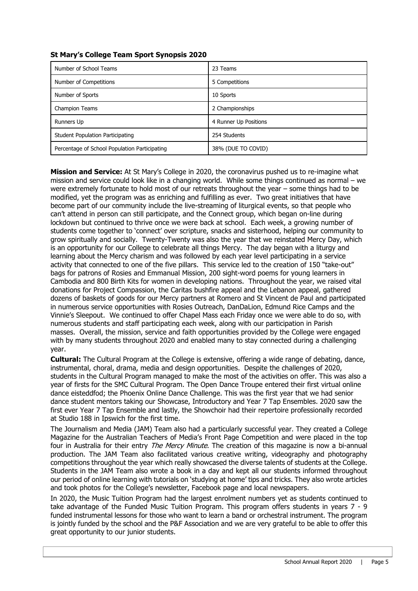| Number of School Teams                        | 23 Teams              |
|-----------------------------------------------|-----------------------|
| Number of Competitions                        | 5 Competitions        |
| Number of Sports                              | 10 Sports             |
| <b>Champion Teams</b>                         | 2 Championships       |
| Runners Up                                    | 4 Runner Up Positions |
| <b>Student Population Participating</b>       | 254 Students          |
| Percentage of School Population Participating | 38% (DUE TO COVID)    |

#### **St Mary's College Team Sport Synopsis 2020**

**Mission and Service:** At St Mary's College in 2020, the coronavirus pushed us to re-imagine what mission and service could look like in a changing world. While some things continued as normal – we were extremely fortunate to hold most of our retreats throughout the year – some things had to be modified, yet the program was as enriching and fulfilling as ever. Two great initiatives that have become part of our community include the live-streaming of liturgical events, so that people who can't attend in person can still participate, and the Connect group, which began on-line during lockdown but continued to thrive once we were back at school. Each week, a growing number of students come together to 'connect' over scripture, snacks and sisterhood, helping our community to grow spiritually and socially. Twenty-Twenty was also the year that we reinstated Mercy Day, which is an opportunity for our College to celebrate all things Mercy. The day began with a liturgy and learning about the Mercy charism and was followed by each year level participating in a service activity that connected to one of the five pillars. This service led to the creation of 150 "take-out" bags for patrons of Rosies and Emmanual Mission, 200 sight-word poems for young learners in Cambodia and 800 Birth Kits for women in developing nations. Throughout the year, we raised vital donations for Project Compassion, the Caritas bushfire appeal and the Lebanon appeal, gathered dozens of baskets of goods for our Mercy partners at Romero and St Vincent de Paul and participated in numerous service opportunities with Rosies Outreach, DanDaLion, Edmund Rice Camps and the Vinnie's Sleepout. We continued to offer Chapel Mass each Friday once we were able to do so, with numerous students and staff participating each week, along with our participation in Parish masses. Overall, the mission, service and faith opportunities provided by the College were engaged with by many students throughout 2020 and enabled many to stay connected during a challenging year.

**Cultural:** The Cultural Program at the College is extensive, offering a wide range of debating, dance, instrumental, choral, drama, media and design opportunities. Despite the challenges of 2020, students in the Cultural Program managed to make the most of the activities on offer. This was also a year of firsts for the SMC Cultural Program. The Open Dance Troupe entered their first virtual online dance eisteddfod; the Phoenix Online Dance Challenge. This was the first year that we had senior dance student mentors taking our Showcase, Introductory and Year 7 Tap Ensembles. 2020 saw the first ever Year 7 Tap Ensemble and lastly, the Showchoir had their repertoire professionally recorded at Studio 188 in Ipswich for the first time.

The Journalism and Media (JAM) Team also had a particularly successful year. They created a College Magazine for the Australian Teachers of Media's Front Page Competition and were placed in the top four in Australia for their entry *The Mercy Minute*. The creation of this magazine is now a bi-annual production. The JAM Team also facilitated various creative writing, videography and photography competitions throughout the year which really showcased the diverse talents of students at the College. Students in the JAM Team also wrote a book in a day and kept all our students informed throughout our period of online learning with tutorials on 'studying at home' tips and tricks. They also wrote articles and took photos for the College's newsletter, Facebook page and local newspapers.

In 2020, the Music Tuition Program had the largest enrolment numbers yet as students continued to take advantage of the Funded Music Tuition Program. This program offers students in years 7 - 9 funded instrumental lessons for those who want to learn a band or orchestral instrument. The program is jointly funded by the school and the P&F Association and we are very grateful to be able to offer this great opportunity to our junior students.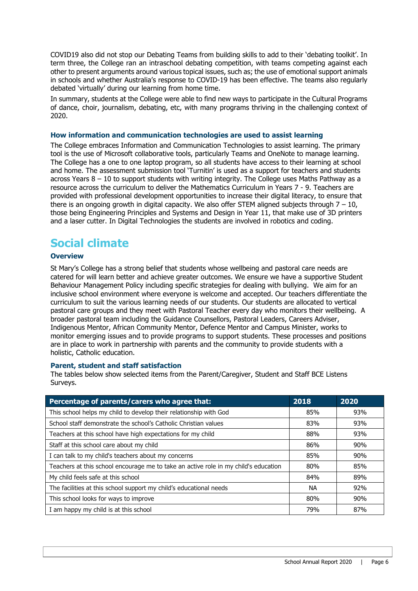COVID19 also did not stop our Debating Teams from building skills to add to their 'debating toolkit'. In term three, the College ran an intraschool debating competition, with teams competing against each other to present arguments around various topical issues, such as; the use of emotional support animals in schools and whether Australia's response to COVID-19 has been effective. The teams also regularly debated 'virtually' during our learning from home time.

In summary, students at the College were able to find new ways to participate in the Cultural Programs of dance, choir, journalism, debating, etc, with many programs thriving in the challenging context of 2020.

#### **How information and communication technologies are used to assist learning**

The College embraces Information and Communication Technologies to assist learning. The primary tool is the use of Microsoft collaborative tools, particularly Teams and OneNote to manage learning. The College has a one to one laptop program, so all students have access to their learning at school and home. The assessment submission tool 'Turnitin' is used as a support for teachers and students across Years  $8 - 10$  to support students with writing integrity. The College uses Maths Pathway as a resource across the curriculum to deliver the Mathematics Curriculum in Years 7 - 9. Teachers are provided with professional development opportunities to increase their digital literacy, to ensure that there is an ongoing growth in digital capacity. We also offer STEM aligned subjects through  $7 - 10$ , those being Engineering Principles and Systems and Design in Year 11, that make use of 3D printers and a laser cutter. In Digital Technologies the students are involved in robotics and coding.

## **Social climate**

#### **Overview**

St Mary's College has a strong belief that students whose wellbeing and pastoral care needs are catered for will learn better and achieve greater outcomes. We ensure we have a supportive Student Behaviour Management Policy including specific strategies for dealing with bullying. We aim for an inclusive school environment where everyone is welcome and accepted. Our teachers differentiate the curriculum to suit the various learning needs of our students. Our students are allocated to vertical pastoral care groups and they meet with Pastoral Teacher every day who monitors their wellbeing. A broader pastoral team including the Guidance Counsellors, Pastoral Leaders, Careers Adviser, Indigenous Mentor, African Community Mentor, Defence Mentor and Campus Minister, works to monitor emerging issues and to provide programs to support students. These processes and positions are in place to work in partnership with parents and the community to provide students with a holistic, Catholic education.

#### **Parent, student and staff satisfaction**

The tables below show selected items from the Parent/Caregiver, Student and Staff BCE Listens Surveys.

| Percentage of parents/carers who agree that:                                        | 2018      | 2020 |
|-------------------------------------------------------------------------------------|-----------|------|
| This school helps my child to develop their relationship with God                   | 85%       | 93%  |
| School staff demonstrate the school's Catholic Christian values                     | 83%       | 93%  |
| Teachers at this school have high expectations for my child                         | 88%       | 93%  |
| Staff at this school care about my child                                            | 86%       | 90%  |
| I can talk to my child's teachers about my concerns                                 | 85%       | 90%  |
| Teachers at this school encourage me to take an active role in my child's education | 80%       | 85%  |
| My child feels safe at this school                                                  | 84%       | 89%  |
| The facilities at this school support my child's educational needs                  | <b>NA</b> | 92%  |
| This school looks for ways to improve                                               | 80%       | 90%  |
| I am happy my child is at this school                                               | 79%       | 87%  |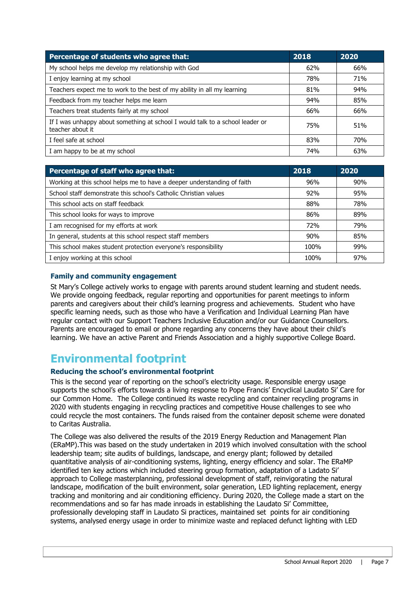| Percentage of students who agree that:                                                            | 2018 | 2020 |
|---------------------------------------------------------------------------------------------------|------|------|
| My school helps me develop my relationship with God                                               | 62%  | 66%  |
| I enjoy learning at my school                                                                     | 78%  | 71%  |
| Teachers expect me to work to the best of my ability in all my learning                           | 81%  | 94%  |
| Feedback from my teacher helps me learn                                                           | 94%  | 85%  |
| Teachers treat students fairly at my school                                                       | 66%  | 66%  |
| If I was unhappy about something at school I would talk to a school leader or<br>teacher about it | 75%  | 51%  |
| I feel safe at school                                                                             | 83%  | 70%  |
| I am happy to be at my school                                                                     | 74%  | 63%  |

| Percentage of staff who agree that:                                     | 2018 | 2020 |
|-------------------------------------------------------------------------|------|------|
| Working at this school helps me to have a deeper understanding of faith | 96%  | 90%  |
| School staff demonstrate this school's Catholic Christian values        | 92%  | 95%  |
| This school acts on staff feedback                                      | 88%  | 78%  |
| This school looks for ways to improve                                   | 86%  | 89%  |
| I am recognised for my efforts at work                                  | 72%  | 79%  |
| In general, students at this school respect staff members               | 90%  | 85%  |
| This school makes student protection everyone's responsibility          | 100% | 99%  |
| I enjoy working at this school                                          | 100% | 97%  |

#### **Family and community engagement**

St Mary's College actively works to engage with parents around student learning and student needs. We provide ongoing feedback, regular reporting and opportunities for parent meetings to inform parents and caregivers about their child's learning progress and achievements. Student who have specific learning needs, such as those who have a Verification and Individual Learning Plan have regular contact with our Support Teachers Inclusive Education and/or our Guidance Counsellors. Parents are encouraged to email or phone regarding any concerns they have about their child's learning. We have an active Parent and Friends Association and a highly supportive College Board.

### **Environmental footprint**

#### **Reducing the school's environmental footprint**

This is the second year of reporting on the school's electricity usage. Responsible energy usage supports the school's efforts towards a living response to Pope Francis' Encyclical Laudato Si' Care for our Common Home. The College continued its waste recycling and container recycling programs in 2020 with students engaging in recycling practices and competitive House challenges to see who could recycle the most containers. The funds raised from the container deposit scheme were donated to Caritas Australia.

The College was also delivered the results of the 2019 Energy Reduction and Management Plan (ERaMP).This was based on the study undertaken in 2019 which involved consultation with the school leadership team; site audits of buildings, landscape, and energy plant; followed by detailed quantitative analysis of air-conditioning systems, lighting, energy efficiency and solar. The ERaMP identified ten key actions which included steering group formation, adaptation of a Ladato Si' approach to College masterplanning, professional development of staff, reinvigorating the natural landscape, modification of the built environment, solar generation, LED lighting replacement, energy tracking and monitoring and air conditioning efficiency. During 2020, the College made a start on the recommendations and so far has made inroads in establishing the Laudato Si' Committee, professionally developing staff in Laudato Si practices, maintained set points for air conditioning systems, analysed energy usage in order to minimize waste and replaced defunct lighting with LED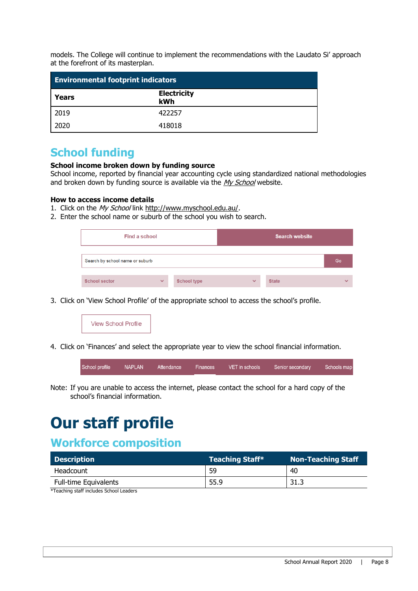models. The College will continue to implement the recommendations with the Laudato Si' approach at the forefront of its masterplan.

| <b>Environmental footprint indicators</b> |                           |  |  |
|-------------------------------------------|---------------------------|--|--|
| Years                                     | <b>Electricity</b><br>kWh |  |  |
| 2019                                      | 422257                    |  |  |
| 2020                                      | 418018                    |  |  |

### **School funding**

#### **School income broken down by funding source**

School income, reported by financial year accounting cycle using standardized national methodologies and broken down by funding source is available via the  $My$  School website.

#### **How to access income details**

- 1. Click on the My School link [http://www.myschool.edu.au/.](http://www.myschool.edu.au/)
- 2. Enter the school name or suburb of the school you wish to search.

| Find a school                   |              |                    | Search website |              |   |
|---------------------------------|--------------|--------------------|----------------|--------------|---|
| Search by school name or suburb |              |                    |                | Go           |   |
| <b>School sector</b>            | $\checkmark$ | <b>School type</b> | $\checkmark$   | <b>State</b> | w |

3. Click on 'View School Profile' of the appropriate school to access the school's profile.

| <b>View School Profile</b> |
|----------------------------|
|----------------------------|

4. Click on 'Finances' and select the appropriate year to view the school financial information.

| School profile | NAPLAN | Attendance | Finances | VET in schools | Senior secondary | Schools mar |
|----------------|--------|------------|----------|----------------|------------------|-------------|
|                |        |            |          |                |                  |             |

Note: If you are unable to access the internet, please contact the school for a hard copy of the school's financial information.

# **Our staff profile**

## **Workforce composition**

| Description                  | <b>Teaching Staff*</b> | <b>Non-Teaching Staff</b> |
|------------------------------|------------------------|---------------------------|
| Headcount                    | 59                     | 40                        |
| <b>Full-time Equivalents</b> | 55.9                   | 31.3                      |

\*Teaching staff includes School Leaders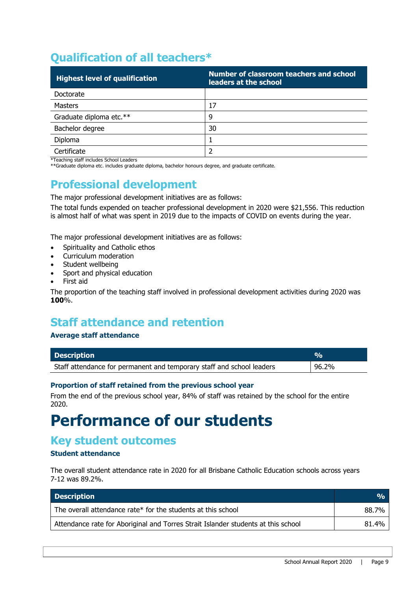# **Qualification of all teachers\***

| <b>Highest level of qualification</b> | Number of classroom teachers and school<br>leaders at the school |
|---------------------------------------|------------------------------------------------------------------|
| Doctorate                             |                                                                  |
| <b>Masters</b>                        | 17                                                               |
| Graduate diploma etc.**               | 9                                                                |
| Bachelor degree                       | 30                                                               |
| Diploma                               |                                                                  |
| Certificate                           |                                                                  |

\*Teaching staff includes School Leaders

\*\*Graduate diploma etc. includes graduate diploma, bachelor honours degree, and graduate certificate.

# **Professional development**

The major professional development initiatives are as follows:

The total funds expended on teacher professional development in 2020 were \$21,556. This reduction is almost half of what was spent in 2019 due to the impacts of COVID on events during the year.

The major professional development initiatives are as follows:

- Spirituality and Catholic ethos
- Curriculum moderation
- Student wellbeing
- Sport and physical education
- First aid

The proportion of the teaching staff involved in professional development activities during 2020 was **100**%.

## **Staff attendance and retention**

#### **Average staff attendance**

| <b>Description</b>                                                    | $\mathbf{v}_{\mathbf{a}}$ |
|-----------------------------------------------------------------------|---------------------------|
| Staff attendance for permanent and temporary staff and school leaders | 96.2%                     |

#### **Proportion of staff retained from the previous school year**

From the end of the previous school year, 84% of staff was retained by the school for the entire 2020.

# **Performance of our students**

### **Key student outcomes**

#### **Student attendance**

The overall student attendance rate in 2020 for all Brisbane Catholic Education schools across years 7-12 was 89.2%.

| <b>Description</b>                                                                | $\frac{0}{0}$ |
|-----------------------------------------------------------------------------------|---------------|
| The overall attendance rate* for the students at this school                      | 88.7%         |
| Attendance rate for Aboriginal and Torres Strait Islander students at this school | 81.4%         |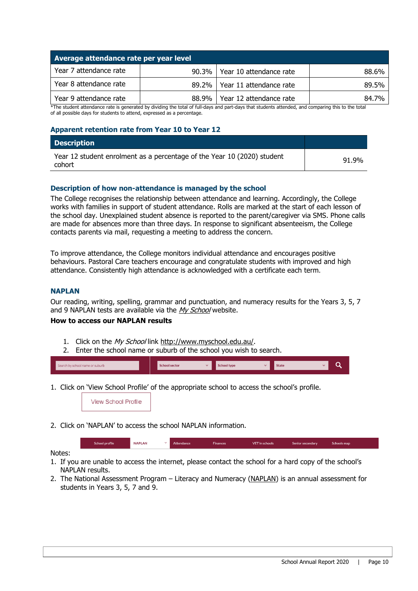| Average attendance rate per year level |         |                                 |       |
|----------------------------------------|---------|---------------------------------|-------|
| Year 7 attendance rate                 |         | 90.3%   Year 10 attendance rate | 88.6% |
| Year 8 attendance rate                 |         | 89.2%   Year 11 attendance rate | 89.5% |
| Year 9 attendance rate                 | 88.9% L | Year 12 attendance rate         | 84.7% |

\*The student attendance rate is generated by dividing the total of full-days and part-days that students attended, and comparing this to the total of all possible days for students to attend, expressed as a percentage.

#### **Apparent retention rate from Year 10 to Year 12**

| <b>Description</b>                                                                |       |
|-----------------------------------------------------------------------------------|-------|
| Year 12 student enrolment as a percentage of the Year 10 (2020) student<br>cohort | 91.9% |

#### **Description of how non-attendance is managed by the school**

The College recognises the relationship between attendance and learning. Accordingly, the College works with families in support of student attendance. Rolls are marked at the start of each lesson of the school day. Unexplained student absence is reported to the parent/caregiver via SMS. Phone calls are made for absences more than three days. In response to significant absenteeism, the College contacts parents via mail, requesting a meeting to address the concern.

To improve attendance, the College monitors individual attendance and encourages positive behaviours. Pastoral Care teachers encourage and congratulate students with improved and high attendance. Consistently high attendance is acknowledged with a certificate each term.

#### **NAPLAN**

Our reading, writing, spelling, grammar and punctuation, and numeracy results for the Years 3, 5, 7 and 9 NAPLAN tests are available via the [My School](http://www.myschool.edu.au/) website.

#### **How to access our NAPLAN results**

- 1. Click on the My School link [http://www.myschool.edu.au/.](http://www.myschool.edu.au/)
- 2. Enter the school name or suburb of the school you wish to search.



1. Click on 'View School Profile' of the appropriate school to access the school's profile.



2. Click on 'NAPLAN' to access the school NAPLAN information.

School profile NADI AN Attendance VET in schools Senior secondary Schools map Finances

Notes:

- 1. If you are unable to access the internet, please contact the school for a hard copy of the school's NAPLAN results.
- 2. The National Assessment Program Literacy and Numeracy [\(NAPLAN\)](http://www.nap.edu.au/naplan) is an annual assessment for students in Years 3, 5, 7 and 9.